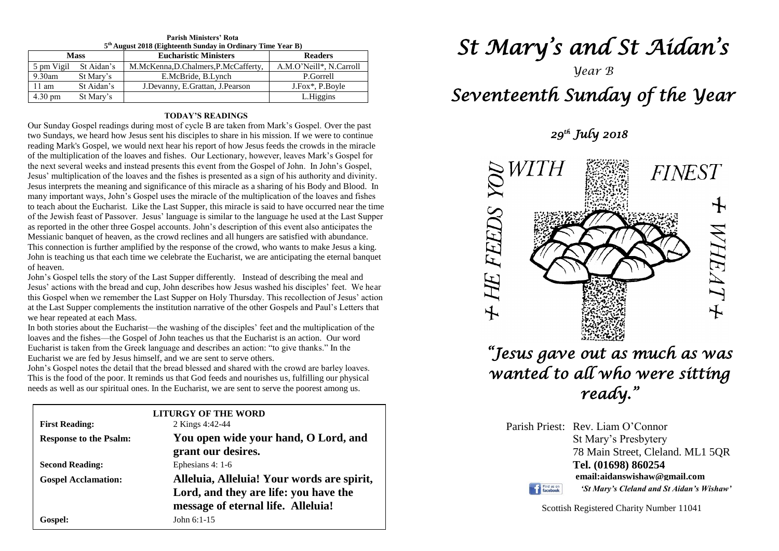| 5 <sup>th</sup> August 2018 (Eighteenth Sunday in Ordinary Time Year B) |                       |                                    |                         |  |  |  |
|-------------------------------------------------------------------------|-----------------------|------------------------------------|-------------------------|--|--|--|
| <b>Mass</b>                                                             |                       | <b>Eucharistic Ministers</b>       | <b>Readers</b>          |  |  |  |
|                                                                         | 5 pm Vigil St Aidan's | M.McKenna,D.Chalmers,P.McCafferty, | A.M.O'Neill*, N.Carroll |  |  |  |
| $9.30$ am                                                               | St Mary's             | E.McBride, B.Lynch                 | P.Gorrell               |  |  |  |
| 11 am                                                                   | St Aidan's            | J.Devanny, E.Grattan, J.Pearson    | J.Fox*, P.Boyle         |  |  |  |
| $4.30 \text{ pm}$                                                       | St Mary's             |                                    | L.Higgins               |  |  |  |

## **Parish Ministers' Rota**

#### **TODAY'S READINGS**

Our Sunday Gospel readings during most of cycle B are taken from Mark's Gospel. Over the past two Sundays, we heard how Jesus sent his disciples to share in his mission. If we were to continue reading Mark's Gospel, we would next hear his report of how Jesus feeds the crowds in the miracle of the multiplication of the loaves and fishes. Our Lectionary, however, leaves Mark's Gospel for the next several weeks and instead presents this event from the Gospel of John. In John's Gospel, Jesus' multiplication of the loaves and the fishes is presented as a sign of his authority and divinity. Jesus interprets the meaning and significance of this miracle as a sharing of his Body and Blood. In many important ways, John's Gospel uses the miracle of the multiplication of the loaves and fishes to teach about the Eucharist. Like the Last Supper, this miracle is said to have occurred near the time of the Jewish feast of Passover. Jesus' language is similar to the language he used at the Last Supper as reported in the other three Gospel accounts. John's description of this event also anticipates the Messianic banquet of heaven, as the crowd reclines and all hungers are satisfied with abundance. This connection is further amplified by the response of the crowd, who wants to make Jesus a king. John is teaching us that each time we celebrate the Eucharist, we are anticipating the eternal banquet of heaven.

Jesus' actions with the bread and cup, John describes how Jesus washed his disciples' feet. We hear this Gospel when we remember the Last Supper on Holy Thursday. This recollection of Jesus' action John's Gospel tells the story of the Last Supper differently. Instead of describing the meal and Jesus' actions with the bread and cup, John describes how Jesus washed his disciples' feet. We hear at the Last Supper complements the institution narrative of the other Gospels and Paul's Letters that we hear repeated at each Mass.

we hear repeated at each Mass.<br>In both stories about the Eucharist—the washing of the disciples' feet and the multiplication of the Eucharist is taken from the Greek language and describes an action: "I<br>Eucharist we are fed by Jesus himself, and we are sent to serve others. loaves and the fishes—the Gospel of John teaches us that the Eucharist is an action. Our word Eucharist is taken from the Greek language and describes an action: "to give thanks." In the

This is the food of the poor. It reminds us that God feeds and nourishes us, fulfilling our physical needs as well as our spiritual ones. In the Eucharist, we are sent to serve the poorest among us. John's Gospel notes the detail that the bread blessed and shared with the crowd are barley loaves. needs as well as our spiritual ones. In the Eucharist, we are sent to serve the poorest among us.

| <b>First Reading:</b>         | <b>LITURGY OF THE WORD</b><br>2 Kings 4:42-44                                                                             |  |
|-------------------------------|---------------------------------------------------------------------------------------------------------------------------|--|
| <b>Response to the Psalm:</b> | You open wide your hand, O Lord, and<br>grant our desires.                                                                |  |
| <b>Second Reading:</b>        | Ephesians 4: 1-6                                                                                                          |  |
| <b>Gospel Acclamation:</b>    | Alleluia, Alleluia! Your words are spirit,<br>Lord, and they are life: you have the<br>message of eternal life. Alleluia! |  |
| Gospel:                       | John $6:1-15$                                                                                                             |  |

# *St Mary's and St Aidan's*

# *Year B Seventeenth Sunday of the Year*

 *29th July 2018* 



*"Jesus gave out as much as was wanted to all who were sitting ready."* 

Parish Priest: Rev. Liam O'Connor St Mary's Presbytery 78 Main Street, Cleland. ML1 5QR **Tel. (01698) 860254 email:aidanswishaw@gmail.com** Find us on *'St Mary's Cleland and St Aidan's Wishaw'*

Scottish Registered Charity Number 11041